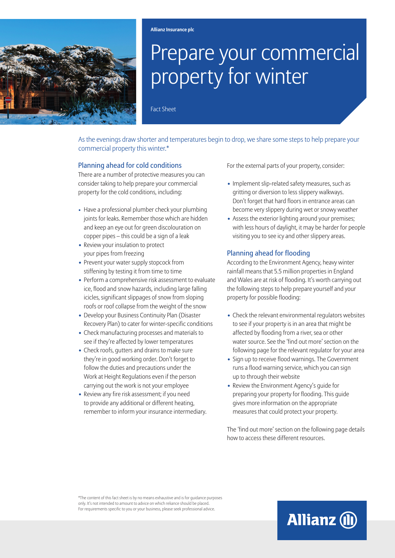

# Prepare your commercial property for winter

Fact Sheet

As the evenings draw shorter and temperatures begin to drop, we share some steps to help prepare your commercial property this winter.\*

#### Planning ahead for cold conditions

There are a number of protective measures you can consider taking to help prepare your commercial property for the cold conditions, including:

- Have a professional plumber check your plumbing joints for leaks. Remember those which are hidden and keep an eye out for green discolouration on copper pipes – this could be a sign of a leak
- **•** Review your insulation to protect your pipes from freezing
- **•** Prevent your water supply stopcock from stiffening by testing it from time to time
- **•** Perform a comprehensive risk assessment to evaluate ice, flood and snow hazards, including large falling icicles, significant slippages of snow from sloping roofs or roof collapse from the weight of the snow
- **•** Develop your Business Continuity Plan (Disaster Recovery Plan) to cater for winter-specific conditions
- **•** Check manufacturing processes and materials to see if they're affected by lower temperatures
- **•** Check roofs, gutters and drains to make sure they're in good working order. Don't forget to follow the duties and precautions under the Work at Height Regulations even if the person carrying out the work is not your employee
- **•** Review any fire risk assessment; if you need to provide any additional or different heating, remember to inform your insurance intermediary.

For the external parts of your property, consider:

- **•** Implement slip-related safety measures, such as gritting or diversion to less slippery walkways. Don't forget that hard floors in entrance areas can become very slippery during wet or snowy weather
- **•** Assess the exterior lighting around your premises; with less hours of daylight, it may be harder for people visiting you to see icy and other slippery areas.

## Planning ahead for flooding

According to the Environment Agency, heavy winter rainfall means that 5.5 million properties in England and Wales are at risk of flooding. It's worth carrying out the following steps to help prepare yourself and your property for possible flooding:

- **•** Check the relevant environmental regulators websites to see if your property is in an area that might be affected by flooding from a river, sea or other water source. See the 'find out more' section on the following page for the relevant regulator for your area
- **•** Sign up to receive flood warnings. The Government runs a flood warning service, which you can sign up to through their website
- **•** Review the Environment Agency's guide for preparing your property for flooding. This guide gives more information on the appropriate measures that could protect your property.

The 'find out more' section on the following page details how to access these different resources.

**Allianz (II)** 

\*The content of this fact sheet is by no means exhaustive and is for guidance purposes only. It's not intended to amount to advice on which reliance should be placed. For requirements specific to you or your business, please seek professional advice.